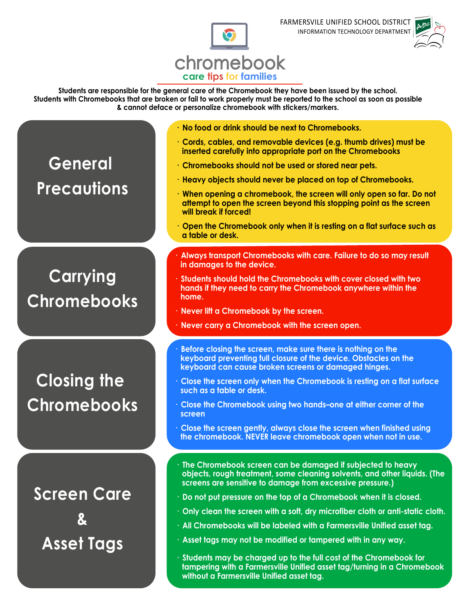

## **care tips for families** chromebook

**Students are responsible for the general care of the Chromebook they have been issued by the school. Students with Chromebooks that are broken or fail to work properly must be reported to the school as soon as possible & cannot deface or personalize chromebook with stickers/markers.**

- **· No food or drink should be next to Chromebooks.**
- **· Cords, cables, and removable devices (e.g. thumb drives) must be inserted carefully into appropriate port on the Chromebooks**
- **· Chromebooks should not be used or stored near pets.**
- **· Heavy objects should never be placed on top of Chromebooks.**
- **· When opening a chromebook, the screen will only open so far. Do not attempt to open the screen beyond this stopping point as the screen will break if forced!**
- **· Open the Chromebook only when it is resting on a flat surface such as a table or desk.**
- **· Always transport Chromebooks with care. Failure to do so may result in damages to the device.**
- **· Students should hold the Chromebooks with cover closed with two hands if they need to carry the Chromebook anywhere within the home.**
- **· Never lift a Chromebook by the screen.**
- **· Never carry a Chromebook with the screen open.**
- **· Before closing the screen, make sure there is nothing on the keyboard preventing full closure of the device. Obstacles on the keyboard can cause broken screens or damaged hinges.**
- **· Close the screen only when the Chromebook is resting on a flat surface such as a table or desk.**
- **· Close the Chromebook using two hands–one at either corner of the screen**
- **· Close the screen gently, always close the screen when finished using the chromebook. NEVER leave chromebook open when not in use.**
- **· The Chromebook screen can be damaged if subjected to heavy objects, rough treatment, some cleaning solvents, and other liquids. (The screens are sensitive to damage from excessive pressure.)**
- **· Do not put pressure on the top of a Chromebook when it is closed.**
- **· Only clean the screen with a soft, dry microfiber cloth or anti-static cloth.**
- **· All Chromebooks will be labeled with a Farmersville Unified asset tag.**
- **· Asset tags may not be modified or tampered with in any way.**
- **· Students may be charged up to the full cost of the Chromebook for tampering with a Farmersville Unified asset tag/turning in a Chromebook without a Farmersville Unified asset tag.**

## **General Precautions**

## **Carrying Chromebooks**

**Closing the Chromebooks**

**Screen Care & Asset Tags**